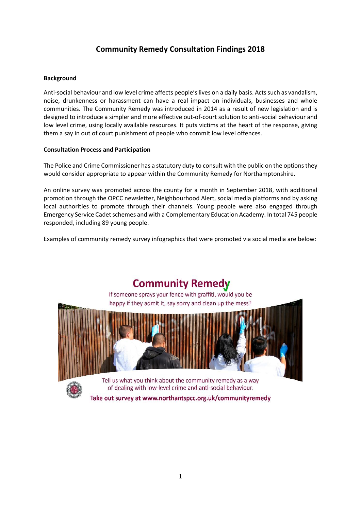# **Community Remedy Consultation Findings 2018**

# **Background**

Anti-social behaviour and low level crime affects people's lives on a daily basis. Acts such as vandalism, noise, drunkenness or harassment can have a real impact on individuals, businesses and whole communities. The Community Remedy was introduced in 2014 as a result of new legislation and is designed to introduce a simpler and more effective out-of-court solution to anti-social behaviour and low level crime, using locally available resources. It puts victims at the heart of the response, giving them a say in out of court punishment of people who commit low level offences.

# **Consultation Process and Participation**

The Police and Crime Commissioner has a statutory duty to consult with the public on the options they would consider appropriate to appear within the Community Remedy for Northamptonshire.

An online survey was promoted across the county for a month in September 2018, with additional promotion through the OPCC newsletter, Neighbourhood Alert, social media platforms and by asking local authorities to promote through their channels. Young people were also engaged through Emergency Service Cadet schemes and with a Complementary Education Academy. In total 745 people responded, including 89 young people.

Examples of community remedy survey infographics that were promoted via social media are below:

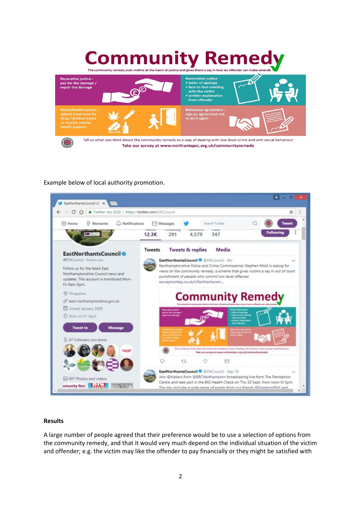# **Community Reme** The community remedy puts victims at the heart of justice and gives them a say in how an offender can



# Example below of local authority promotion.



#### **Results**

A large number of people agreed that their preference would be to use a selection of options from the community remedy, and that it would very much depend on the individual situation of the victim and offender; e.g. the victim may like the offender to pay financially or they might be satisfied with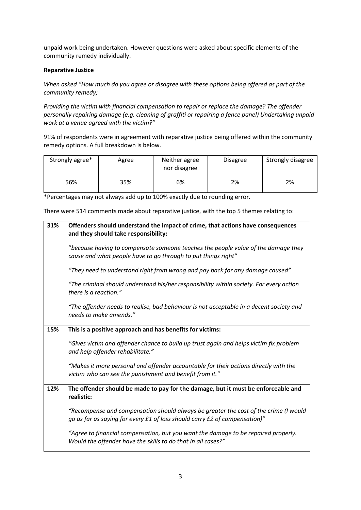unpaid work being undertaken. However questions were asked about specific elements of the community remedy individually.

# **Reparative Justice**

*When asked "How much do you agree or disagree with these options being offered as part of the community remedy;*

*Providing the victim with financial compensation to repair or replace the damage? The offender personally repairing damage (e.g. cleaning of graffiti or repairing a fence panel) Undertaking unpaid work at a venue agreed with the victim?"*

91% of respondents were in agreement with reparative justice being offered within the community remedy options. A full breakdown is below.

| Strongly agree* | Agree | Neither agree<br>nor disagree | <b>Disagree</b> | Strongly disagree |
|-----------------|-------|-------------------------------|-----------------|-------------------|
| 56%             | 35%   | 6%                            | 2%              | 2%                |

\*Percentages may not always add up to 100% exactly due to rounding error.

There were 514 comments made about reparative justice, with the top 5 themes relating to:

| 31% | Offenders should understand the impact of crime, that actions have consequences<br>and they should take responsibility:                                            |
|-----|--------------------------------------------------------------------------------------------------------------------------------------------------------------------|
|     | "because having to compensate someone teaches the people value of the damage they<br>cause and what people have to go through to put things right"                 |
|     | "They need to understand right from wrong and pay back for any damage caused"                                                                                      |
|     | "The criminal should understand his/her responsibility within society. For every action<br>there is a reaction."                                                   |
|     | "The offender needs to realise, bad behaviour is not acceptable in a decent society and<br>needs to make amends."                                                  |
| 15% | This is a positive approach and has benefits for victims:                                                                                                          |
|     | "Gives victim and offender chance to build up trust again and helps victim fix problem<br>and help offender rehabilitate."                                         |
|     | "Makes it more personal and offender accountable for their actions directly with the<br>victim who can see the punishment and benefit from it."                    |
| 12% | The offender should be made to pay for the damage, but it must be enforceable and<br>realistic:                                                                    |
|     | "Recompense and compensation should always be greater the cost of the crime (I would<br>go as far as saying for every £1 of loss should carry £2 of compensation)" |
|     | "Agree to financial compensation, but you want the damage to be repaired properly.<br>Would the offender have the skills to do that in all cases?"                 |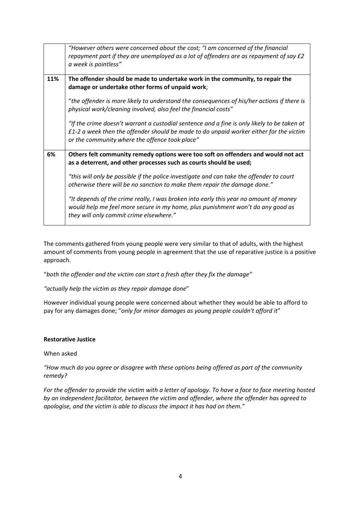|     | "However others were concerned about the cost; "I am concerned of the financial<br>repayment part if they are unemployed as a lot of offenders are as repayment of say £2<br>a week is pointless"                                         |
|-----|-------------------------------------------------------------------------------------------------------------------------------------------------------------------------------------------------------------------------------------------|
| 11% | The offender should be made to undertake work in the community, to repair the<br>damage or undertake other forms of unpaid work;                                                                                                          |
|     | "the offender is more likely to understand the consequences of his/her actions if there is<br>physical work/cleaning involved, also feel the financial costs"                                                                             |
|     | "If the crime doesn't warrant a custodial sentence and a fine is only likely to be taken at<br>$f1-2$ a week then the offender should be made to do unpaid worker either for the victim<br>or the community where the offence took place" |
| 6%  | Others felt community remedy options were too soft on offenders and would not act<br>as a deterrent, and other processes such as courts should be used;                                                                                   |
|     | "this will only be possible if the police investigate and can take the offender to court<br>otherwise there will be no sanction to make them repair the damage done."                                                                     |
|     | "It depends of the crime really, I was broken into early this year no amount of money<br>would help me feel more secure in my home, plus punishment won't do any good as<br>they will only commit crime elsewhere."                       |

The comments gathered from young people were very similar to that of adults, with the highest amount of comments from young people in agreement that the use of reparative justice is a positive approach.

"*both the offender and the victim can start a fresh after they fix the damage"*

*"actually help the victim as they repair damage done*"

However individual young people were concerned about whether they would be able to afford to pay for any damages done; "*only for minor damages as young people couldn't afford it*"

# **Restorative Justice**

When asked

*"How much do you agree or disagree with these options being offered as part of the community remedy?*

*For the offender to provide the victim with a letter of apology. To have a face to face meeting hosted by an independent facilitator, between the victim and offender, where the offender has agreed to apologise, and the victim is able to discuss the impact it has had on them."*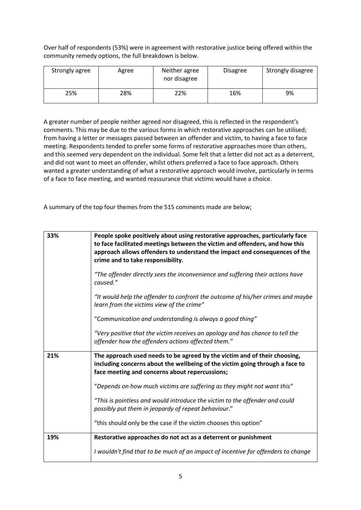Over half of respondents (53%) were in agreement with restorative justice being offered within the community remedy options, the full breakdown is below.

| Strongly agree | Agree | Neither agree<br>nor disagree | <b>Disagree</b> | Strongly disagree |
|----------------|-------|-------------------------------|-----------------|-------------------|
| 25%            | 28%   | 22%                           | 16%             | 9%                |

A greater number of people neither agreed nor disagreed, this is reflected in the respondent's comments. This may be due to the various forms in which restorative approaches can be utilised; from having a letter or messages passed between an offender and victim, to having a face to face meeting. Respondents tended to prefer some forms of restorative approaches more than others, and this seemed very dependent on the individual. Some felt that a letter did not act as a deterrent, and did not want to meet an offender, whilst others preferred a face to face approach. Others wanted a greater understanding of what a restorative approach would involve, particularly in terms of a face to face meeting, and wanted reassurance that victims would have a choice.

A summary of the top four themes from the 515 comments made are below;

| 33% | People spoke positively about using restorative approaches, particularly face<br>to face facilitated meetings between the victim and offenders, and how this<br>approach allows offenders to understand the impact and consequences of the<br>crime and to take responsibility. |
|-----|---------------------------------------------------------------------------------------------------------------------------------------------------------------------------------------------------------------------------------------------------------------------------------|
|     | "The offender directly sees the inconvenience and suffering their actions have<br>caused."                                                                                                                                                                                      |
|     | "It would help the offender to confront the outcome of his/her crimes and maybe<br>learn from the victims view of the crime"                                                                                                                                                    |
|     | "Communication and understanding is always a good thing"                                                                                                                                                                                                                        |
|     | "Very positive that the victim receives an apology and has chance to tell the<br>offender how the offenders actions affected them."                                                                                                                                             |
| 21% | The approach used needs to be agreed by the victim and of their choosing,<br>including concerns about the wellbeing of the victim going through a face to<br>face meeting and concerns about repercussions;                                                                     |
|     | "Depends on how much victims are suffering as they might not want this"                                                                                                                                                                                                         |
|     | "This is pointless and would introduce the victim to the offender and could<br>possibly put them in jeopardy of repeat behaviour."                                                                                                                                              |
|     | "this should only be the case if the victim chooses this option"                                                                                                                                                                                                                |
| 19% | Restorative approaches do not act as a deterrent or punishment                                                                                                                                                                                                                  |
|     | I wouldn't find that to be much of an impact of incentive for offenders to change                                                                                                                                                                                               |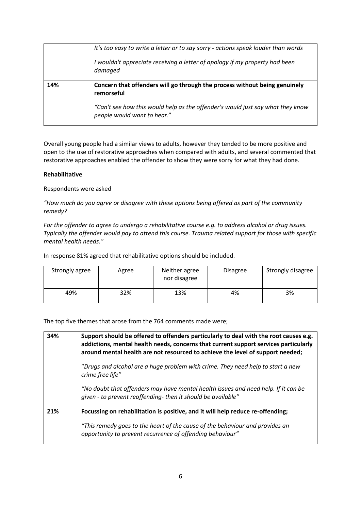|     | It's too easy to write a letter or to say sorry - actions speak louder than words<br>I wouldn't appreciate receiving a letter of apology if my property had been<br>damaged                               |
|-----|-----------------------------------------------------------------------------------------------------------------------------------------------------------------------------------------------------------|
| 14% | Concern that offenders will go through the process without being genuinely<br>remorseful<br>"Can't see how this would help as the offender's would just say what they know<br>people would want to hear." |

Overall young people had a similar views to adults, however they tended to be more positive and open to the use of restorative approaches when compared with adults, and several commented that restorative approaches enabled the offender to show they were sorry for what they had done.

# **Rehabilitative**

Respondents were asked

*"How much do you agree or disagree with these options being offered as part of the community remedy?*

*For the offender to agree to undergo a rehabilitative course e.g. to address alcohol or drug issues. Typically the offender would pay to attend this course. Trauma related support for those with specific mental health needs."*

In response 81% agreed that rehabilitative options should be included.

| Strongly agree | Agree | Neither agree<br>nor disagree | <b>Disagree</b> | Strongly disagree |
|----------------|-------|-------------------------------|-----------------|-------------------|
| 49%            | 32%   | 13%                           | 4%              | 3%                |

The top five themes that arose from the 764 comments made were;

| 34% | Support should be offered to offenders particularly to deal with the root causes e.g.<br>addictions, mental health needs, concerns that current support services particularly<br>around mental health are not resourced to achieve the level of support needed; |
|-----|-----------------------------------------------------------------------------------------------------------------------------------------------------------------------------------------------------------------------------------------------------------------|
|     | "Drugs and alcohol are a huge problem with crime. They need help to start a new<br>crime free life"                                                                                                                                                             |
|     | "No doubt that offenders may have mental health issues and need help. If it can be<br>given - to prevent reoffending- then it should be available"                                                                                                              |
| 21% | Focussing on rehabilitation is positive, and it will help reduce re-offending;                                                                                                                                                                                  |
|     | "This remedy goes to the heart of the cause of the behaviour and provides an<br>opportunity to prevent recurrence of offending behaviour"                                                                                                                       |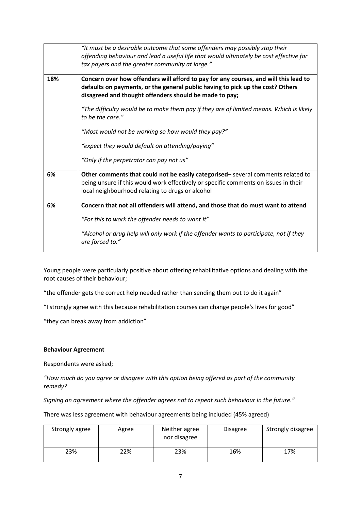|     | "It must be a desirable outcome that some offenders may possibly stop their<br>offending behaviour and lead a useful life that would ultimately be cost effective for<br>tax payers and the greater community at large."         |
|-----|----------------------------------------------------------------------------------------------------------------------------------------------------------------------------------------------------------------------------------|
| 18% | Concern over how offenders will afford to pay for any courses, and will this lead to<br>defaults on payments, or the general public having to pick up the cost? Others<br>disagreed and thought offenders should be made to pay; |
|     | "The difficulty would be to make them pay if they are of limited means. Which is likely<br>to be the case."                                                                                                                      |
|     | "Most would not be working so how would they pay?"                                                                                                                                                                               |
|     | "expect they would default on attending/paying"                                                                                                                                                                                  |
|     | "Only if the perpetrator can pay not us"                                                                                                                                                                                         |
| 6%  | Other comments that could not be easily categorised-several comments related to<br>being unsure if this would work effectively or specific comments on issues in their<br>local neighbourhood relating to drugs or alcohol       |
| 6%  | Concern that not all offenders will attend, and those that do must want to attend                                                                                                                                                |
|     | "For this to work the offender needs to want it"                                                                                                                                                                                 |
|     | "Alcohol or drug help will only work if the offender wants to participate, not if they<br>are forced to."                                                                                                                        |

Young people were particularly positive about offering rehabilitative options and dealing with the root causes of their behaviour;

"the offender gets the correct help needed rather than sending them out to do it again"

"I strongly agree with this because rehabilitation courses can change people's lives for good"

"they can break away from addiction"

# **Behaviour Agreement**

Respondents were asked;

*"How much do you agree or disagree with this option being offered as part of the community remedy?* 

*Signing an agreement where the offender agrees not to repeat such behaviour in the future."*

There was less agreement with behaviour agreements being included (45% agreed)

| Strongly agree | Agree | Neither agree<br>nor disagree | <b>Disagree</b> | Strongly disagree |
|----------------|-------|-------------------------------|-----------------|-------------------|
| 23%            | 22%   | 23%                           | 16%             | 17%               |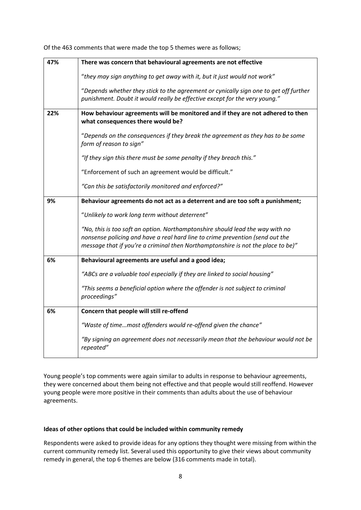| 47% | There was concern that behavioural agreements are not effective                                                                                                                                                                                    |
|-----|----------------------------------------------------------------------------------------------------------------------------------------------------------------------------------------------------------------------------------------------------|
|     | "they may sign anything to get away with it, but it just would not work"                                                                                                                                                                           |
|     | "Depends whether they stick to the agreement or cynically sign one to get off further<br>punishment. Doubt it would really be effective except for the very young."                                                                                |
| 22% | How behaviour agreements will be monitored and if they are not adhered to then<br>what consequences there would be?                                                                                                                                |
|     | "Depends on the consequences if they break the agreement as they has to be some<br>form of reason to sign"                                                                                                                                         |
|     | "If they sign this there must be some penalty if they breach this."                                                                                                                                                                                |
|     | "Enforcement of such an agreement would be difficult."                                                                                                                                                                                             |
|     | "Can this be satisfactorily monitored and enforced?"                                                                                                                                                                                               |
| 9%  | Behaviour agreements do not act as a deterrent and are too soft a punishment;                                                                                                                                                                      |
|     | "Unlikely to work long term without deterrent"                                                                                                                                                                                                     |
|     | "No, this is too soft an option. Northamptonshire should lead the way with no<br>nonsense policing and have a real hard line to crime prevention (send out the<br>message that if you're a criminal then Northamptonshire is not the place to be)" |
| 6%  | Behavioural agreements are useful and a good idea;                                                                                                                                                                                                 |
|     | "ABCs are a valuable tool especially if they are linked to social housing"                                                                                                                                                                         |
|     | "This seems a beneficial option where the offender is not subject to criminal<br>proceedings"                                                                                                                                                      |
| 6%  | Concern that people will still re-offend                                                                                                                                                                                                           |
|     | "Waste of timemost offenders would re-offend given the chance"                                                                                                                                                                                     |
|     | "By signing an agreement does not necessarily mean that the behaviour would not be<br>repeated"                                                                                                                                                    |

Of the 463 comments that were made the top 5 themes were as follows;

Young people's top comments were again similar to adults in response to behaviour agreements, they were concerned about them being not effective and that people would still reoffend. However young people were more positive in their comments than adults about the use of behaviour agreements.

# **Ideas of other options that could be included within community remedy**

Respondents were asked to provide ideas for any options they thought were missing from within the current community remedy list. Several used this opportunity to give their views about community remedy in general, the top 6 themes are below (316 comments made in total).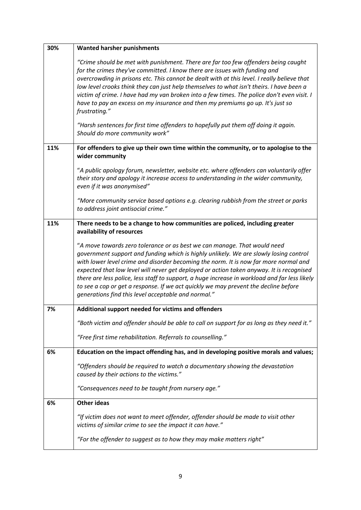| 30% | <b>Wanted harsher punishments</b>                                                                                                                                                                                                                                                                                                                                                                                                                                                                                                                                                                    |
|-----|------------------------------------------------------------------------------------------------------------------------------------------------------------------------------------------------------------------------------------------------------------------------------------------------------------------------------------------------------------------------------------------------------------------------------------------------------------------------------------------------------------------------------------------------------------------------------------------------------|
|     | "Crime should be met with punishment. There are far too few offenders being caught<br>for the crimes they've committed. I know there are issues with funding and<br>overcrowding in prisons etc. This cannot be dealt with at this level. I really believe that<br>low level crooks think they can just help themselves to what isn't theirs. I have been a<br>victim of crime. I have had my van broken into a few times. The police don't even visit. I<br>have to pay an excess on my insurance and then my premiums go up. It's just so<br>frustrating."                                         |
|     | "Harsh sentences for first time offenders to hopefully put them off doing it again.<br>Should do more community work"                                                                                                                                                                                                                                                                                                                                                                                                                                                                                |
| 11% | For offenders to give up their own time within the community, or to apologise to the<br>wider community                                                                                                                                                                                                                                                                                                                                                                                                                                                                                              |
|     | "A public apology forum, newsletter, website etc. where offenders can voluntarily offer<br>their story and apology it increase access to understanding in the wider community,<br>even if it was anonymised"                                                                                                                                                                                                                                                                                                                                                                                         |
|     | "More community service based options e.g. clearing rubbish from the street or parks<br>to address joint antisocial crime."                                                                                                                                                                                                                                                                                                                                                                                                                                                                          |
| 11% | There needs to be a change to how communities are policed, including greater<br>availability of resources                                                                                                                                                                                                                                                                                                                                                                                                                                                                                            |
|     | "A move towards zero tolerance or as best we can manage. That would need<br>government support and funding which is highly unlikely. We are slowly losing control<br>with lower level crime and disorder becoming the norm. It is now far more normal and<br>expected that low level will never get deployed or action taken anyway. It is recognised<br>there are less police, less staff to support, a huge increase in workload and far less likely<br>to see a cop or get a response. If we act quickly we may prevent the decline before<br>generations find this level acceptable and normal." |
| 7%  | Additional support needed for victims and offenders                                                                                                                                                                                                                                                                                                                                                                                                                                                                                                                                                  |
|     | "Both victim and offender should be able to call on support for as long as they need it."                                                                                                                                                                                                                                                                                                                                                                                                                                                                                                            |
|     | "Free first time rehabilitation. Referrals to counselling."                                                                                                                                                                                                                                                                                                                                                                                                                                                                                                                                          |
| 6%  | Education on the impact offending has, and in developing positive morals and values;                                                                                                                                                                                                                                                                                                                                                                                                                                                                                                                 |
|     | "Offenders should be required to watch a documentary showing the devastation<br>caused by their actions to the victims."                                                                                                                                                                                                                                                                                                                                                                                                                                                                             |
|     | "Consequences need to be taught from nursery age."                                                                                                                                                                                                                                                                                                                                                                                                                                                                                                                                                   |
| 6%  | <b>Other ideas</b>                                                                                                                                                                                                                                                                                                                                                                                                                                                                                                                                                                                   |
|     | "If victim does not want to meet offender, offender should be made to visit other<br>victims of similar crime to see the impact it can have."                                                                                                                                                                                                                                                                                                                                                                                                                                                        |
|     | "For the offender to suggest as to how they may make matters right"                                                                                                                                                                                                                                                                                                                                                                                                                                                                                                                                  |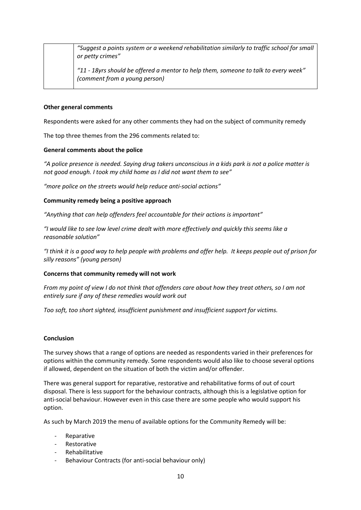| "Suggest a points system or a weekend rehabilitation similarly to traffic school for small<br>or petty crimes"       |
|----------------------------------------------------------------------------------------------------------------------|
| "11 - 18yrs should be offered a mentor to help them, someone to talk to every week"<br>(comment from a young person) |

# **Other general comments**

Respondents were asked for any other comments they had on the subject of community remedy

The top three themes from the 296 comments related to:

# **General comments about the police**

*"A police presence is needed. Saying drug takers unconscious in a kids park is not a police matter is not good enough. I took my child home as I did not want them to see"*

*"more police on the streets would help reduce anti-social actions"*

# **Community remedy being a positive approach**

*"Anything that can help offenders feel accountable for their actions is important"*

*"I would like to see low level crime dealt with more effectively and quickly this seems like a reasonable solution"*

*"I think it is a good way to help people with problems and offer help. It keeps people out of prison for silly reasons" (young person)*

# **Concerns that community remedy will not work**

*From my point of view I do not think that offenders care about how they treat others, so I am not entirely sure if any of these remedies would work out*

*Too soft, too short sighted, insufficient punishment and insufficient support for victims.*

# **Conclusion**

The survey shows that a range of options are needed as respondents varied in their preferences for options within the community remedy. Some respondents would also like to choose several options if allowed, dependent on the situation of both the victim and/or offender.

There was general support for reparative, restorative and rehabilitative forms of out of court disposal. There is less support for the behaviour contracts, although this is a legislative option for anti-social behaviour. However even in this case there are some people who would support his option.

As such by March 2019 the menu of available options for the Community Remedy will be:

- Reparative
- **Restorative**
- Rehabilitative
- Behaviour Contracts (for anti-social behaviour only)